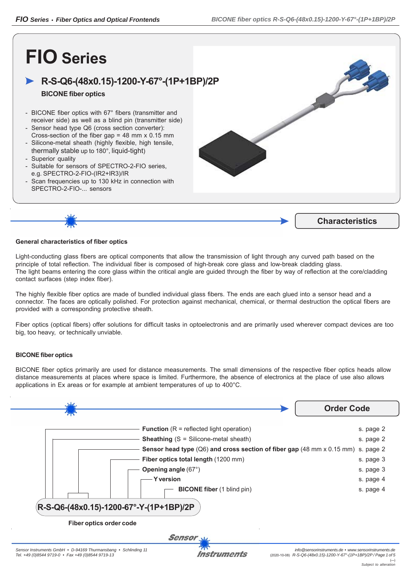# **FIO Series**

## **R-S-Q6-(48x0.15)-1200-Y-67°-(1P+1BP)/2P**

### **BICONE fiber optics**

- BICONE fiber optics with 67° fibers (transmitter and receiver side) as well as a blind pin (transmitter side)
- Sensor head type Q6 (cross section converter): Cross-section of the fiber gap  $= 48$  mm x 0.15 mm
- Silicone-metal sheath (highly flexible, high tensile, thermally stable up to 180°, liquid-tight)
- Superior quality
- Suitable for sensors of SPECTRO-2-FIO series, e.g. SPECTRO-2-FIO-(IR2+IR3)/IR
- Scan frequencies up to 130 kHz in connection with SPECTRO-2-FIO-... sensors





#### **General characteristics of fiber optics**

Light-conducting glass fibers are optical components that allow the transmission of light through any curved path based on the principle of total reflection. The individual fiber is composed of high-break core glass and low-break cladding glass. The light beams entering the core glass within the critical angle are guided through the fiber by way of reflection at the core/cladding contact surfaces (step index fiber).

The highly flexible fiber optics are made of bundled individual glass fibers. The ends are each glued into a sensor head and a connector. The faces are optically polished. For protection against mechanical, chemical, or thermal destruction the optical fibers are provided with a corresponding protective sheath.

Fiber optics (optical fibers) offer solutions for difficult tasks in optoelectronis and are primarily used wherever compact devices are too big, too heavy, or technically unviable.

#### **BICONE fiber optics**

BICONE fiber optics primarily are used for distance measurements. The small dimensions of the respective fiber optics heads allow distance measurements at places where space is limited. Furthermore, the absence of electronics at the place of use also allows applications in Ex areas or for example at ambient temperatures of up to 400°C.

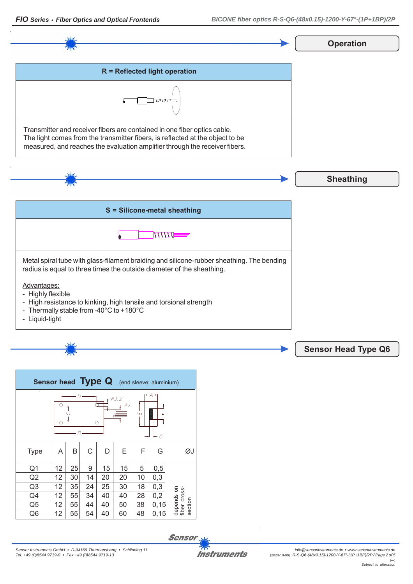*Sensor Instruments GmbH • D-94169 Thurmansbang • Schlinding 11*

*FIO Series • Fiber Optics and Optical Frontends BICONE fiber optics R-S-Q6-(48x0.15)-1200-Y-67°-(1P+1BP)/2P*

**Operation**



| Sensor head Type Q<br>(end sleeve: aluminium)        |    |    |    |    |    |    |       |                            |
|------------------------------------------------------|----|----|----|----|----|----|-------|----------------------------|
| $-A$<br>$\varnothing$ 3.2<br>гøJ<br>Щ<br>F<br>O<br>G |    |    |    |    |    |    |       |                            |
| <b>Type</b>                                          | A  | Β  | С  | D  | Ε  | F  | G     | ØJ                         |
| Q1                                                   | 12 | 25 | 9  | 15 | 15 | 5  | 0,5   |                            |
| Q2                                                   | 12 | 30 | 14 | 20 | 20 | 10 | 0,3   |                            |
| Q <sub>3</sub>                                       | 12 | 35 | 24 | 25 | 30 | 18 | 0,3   |                            |
| Q4                                                   | 12 | 55 | 34 | 40 | 40 | 28 | 0,2   | depends on<br>fiber cross- |
| Q <sub>5</sub>                                       | 12 | 55 | 44 | 40 | 50 | 38 | 0, 15 | section                    |
| Q <sub>6</sub>                                       | 12 | 55 | 54 | 40 | 60 | 48 | 0,15  |                            |

**Sensor** 

**Instruments**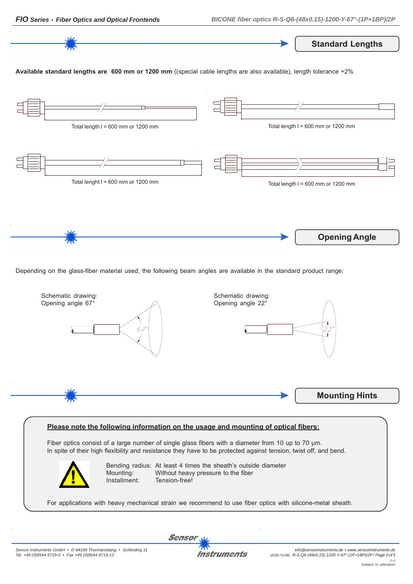

Depending on the glass-fiber material used, the following beam angles are available in the standard product range:



#### **Please note the following information on the usage and mounting of optical fibers:**

Fiber optics consist of a large number of single glass fibers with a diameter from 10 up to 70 μm. In spite of their high flexibility and resistance they have to be protected against tension, twist off, and bend.



Bending radius: At least 4 times the sheath's outside diameter Mounting: Without heavy pressure to the fiber Installment: Tension-free!

For applications with heavy mechanical strain we recommend to use fiber optics with silicone-metal sheath.

Instruments

Sensor

**Opening Angle**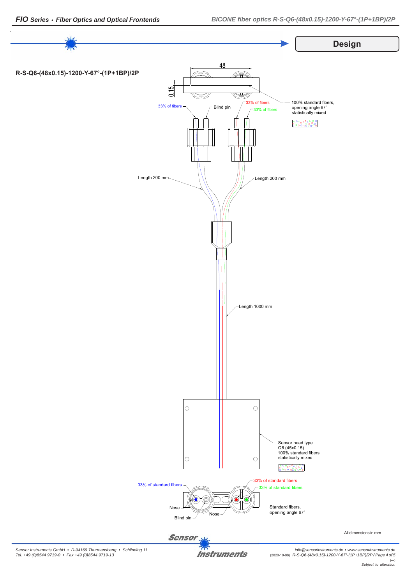